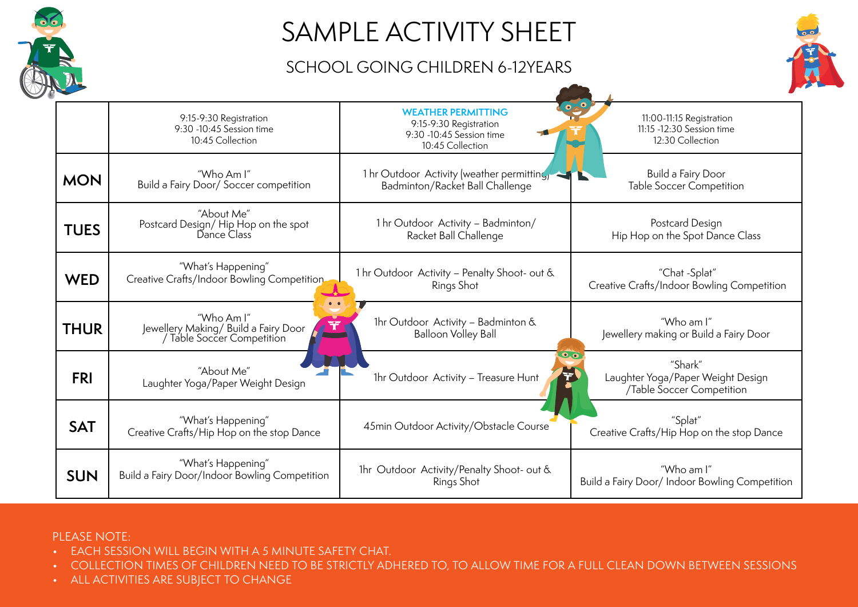

# SAMPLE ACTIVITY SHEET

### SCHOOL GOING CHILDREN 6-12YEARS



|             | 9:15-9:30 Registration<br>9:30 -10:45 Session time<br>10:45 Collection                           | <b>WEATHER PERMITTING</b><br>9:15-9:30 Registration<br>9:30 -10:45 Session time<br>10:45 Collection            | 11:00-11:15 Registration<br>11:15 -12:30 Session time<br>12:30 Collection |
|-------------|--------------------------------------------------------------------------------------------------|----------------------------------------------------------------------------------------------------------------|---------------------------------------------------------------------------|
| <b>MON</b>  | "Who Am I"                                                                                       | 1 hr Outdoor Activity (weather permitting,                                                                     | Build a Fairy Door                                                        |
|             | Build a Fairy Door/ Soccer competition                                                           | Badminton/Racket Ball Challenge                                                                                | <b>Table Soccer Competition</b>                                           |
| <b>TUES</b> | "About Me"                                                                                       | 1 hr Outdoor Activity - Badminton/                                                                             | Postcard Design                                                           |
|             | Postcard Design/Hip Hop on the spot<br>Dance Class                                               | Racket Ball Challenge                                                                                          | Hip Hop on the Spot Dance Class                                           |
| <b>WED</b>  | "What's Happening"                                                                               | 1 hr Outdoor Activity - Penalty Shoot- out &                                                                   | "Chat -Splat"                                                             |
|             | Creative Crafts/Indoor Bowling Competition                                                       | Rings Shot                                                                                                     | Creative Crafts/Indoor Bowling Competition                                |
| <b>THUR</b> | "Who Am I"<br>$\mathcal{F}$<br>Jewellery Making/Build a Fairy Door<br>/ Table Soccer Competition | 1hr Outdoor Activity - Badminton &<br><b>Balloon Volley Ball</b>                                               | "Who am I"<br>Jewellery making or Build a Fairy Door                      |
| <b>FRI</b>  | "About Me"<br>Laughter Yoga/Paper Weight Design                                                  | $\overline{\bullet}$ . $\overline{\bullet}$<br>$\overline{\mathbf{r}}$<br>1hr Outdoor Activity - Treasure Hunt | "Shark"<br>Laughter Yoga/Paper Weight Design<br>/Table Soccer Competition |
| <b>SAT</b>  | "What's Happening"<br>Creative Crafts/Hip Hop on the stop Dance                                  | 45min Outdoor Activity/Obstacle Course                                                                         | "Splat"<br>Creative Crafts/Hip Hop on the stop Dance                      |
| <b>SUN</b>  | "What's Happening"                                                                               | 1hr Outdoor Activity/Penalty Shoot- out &                                                                      | "Who am I"                                                                |
|             | Build a Fairy Door/Indoor Bowling Competition                                                    | Rings Shot                                                                                                     | Build a Fairy Door/ Indoor Bowling Competition                            |

#### PLEASE NOTE:

- EACH SESSION WILL BEGIN WITH A 5 MINUTE SAFETY CHAT.
- COLLECTION TIMES OF CHILDREN NEED TO BE STRICTLY ADHERED TO, TO ALLOW TIME FOR A FULL CLEAN DOWN BETWEEN SESSIONS
- ALL ACTIVITIES ARE SUBJECT TO CHANGE